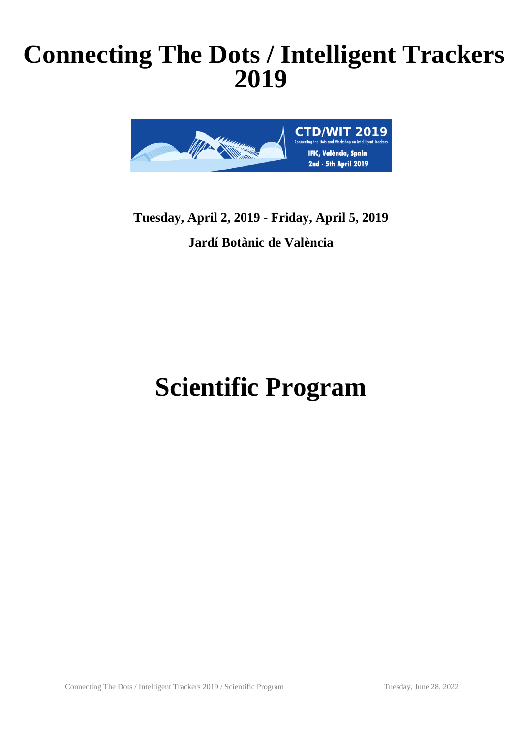# **Connecting The Dots / Intelligent Trackers 2019**



## **Tuesday, April 2, 2019 - Friday, April 5, 2019 Jardí Botànic de València**

# **Scientific Program**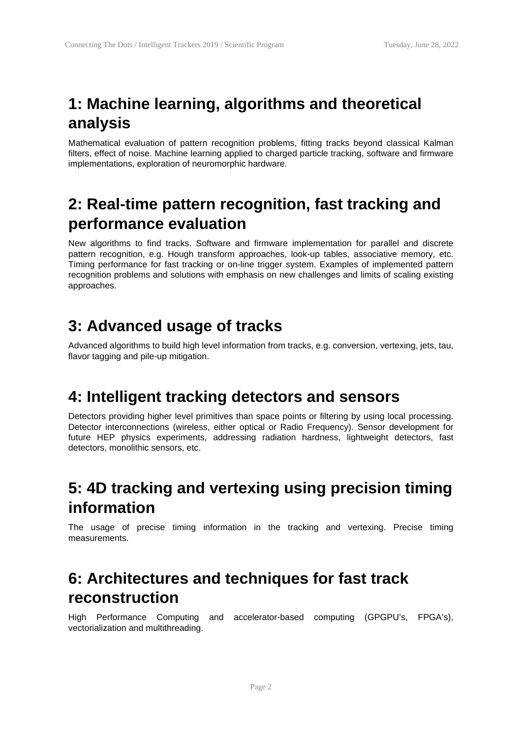## **1: Machine learning, algorithms and theoretical analysis**

Mathematical evaluation of pattern recognition problems, fitting tracks beyond classical Kalman filters, effect of noise. Machine learning applied to charged particle tracking, software and firmware implementations, exploration of neuromorphic hardware.

#### **2: Real-time pattern recognition, fast tracking and performance evaluation**

New algorithms to find tracks. Software and firmware implementation for parallel and discrete pattern recognition, e.g. Hough transform approaches, look-up tables, associative memory, etc. Timing performance for fast tracking or on-line trigger system. Examples of implemented pattern recognition problems and solutions with emphasis on new challenges and limits of scaling existing approaches.

#### **3: Advanced usage of tracks**

Advanced algorithms to build high level information from tracks, e.g. conversion, vertexing, jets, tau, flavor tagging and pile-up mitigation.

#### **4: Intelligent tracking detectors and sensors**

Detectors providing higher level primitives than space points or filtering by using local processing. Detector interconnections (wireless, either optical or Radio Frequency). Sensor development for future HEP physics experiments, addressing radiation hardness, lightweight detectors, fast detectors, monolithic sensors, etc.

#### **5: 4D tracking and vertexing using precision timing information**

The usage of precise timing information in the tracking and vertexing. Precise timing measurements.

#### **6: Architectures and techniques for fast track reconstruction**

High Performance Computing and accelerator-based computing (GPGPU's, FPGA's), vectorialization and multithreading.